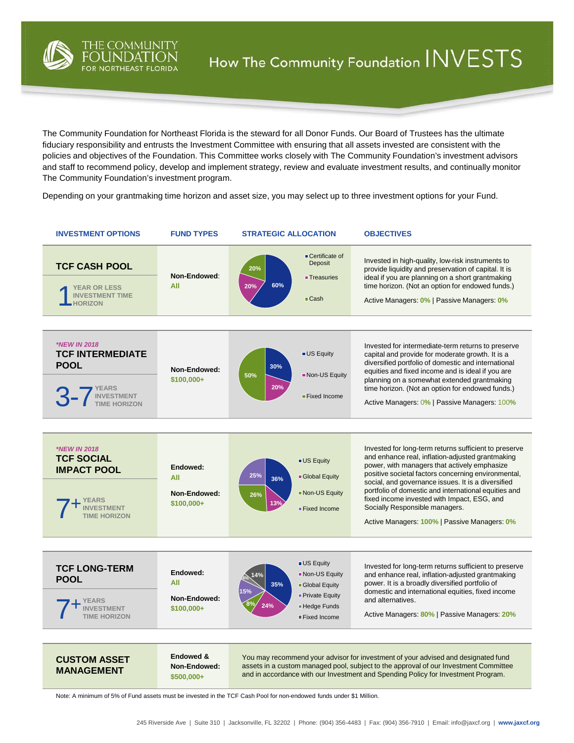

The Community Foundation for Northeast Florida is the steward for all Donor Funds. Our Board of Trustees has the ultimate fiduciary responsibility and entrusts the Investment Committee with ensuring that all assets invested are consistent with the policies and objectives of the Foundation. This Committee works closely with The Community Foundation's investment advisors and staff to recommend policy, develop and implement strategy, review and evaluate investment results, and continually monitor The Community Foundation's investment program.

Depending on your grantmaking time horizon and asset size, you may select up to three investment options for your Fund.